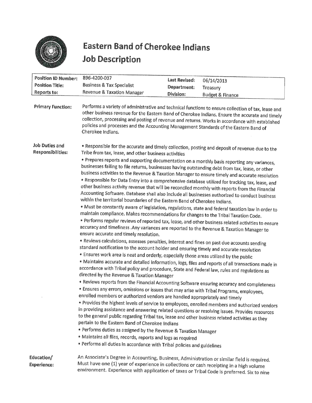

## Eastern Band of Cherokee Indians Eastern Band of Cherokee Indians<br>Job Description<br>Reflies Determines 886,4200,927 Job Description

|                                                                     | <b>Eastern Band of Cherokee Indians</b><br><b>Job Description</b>                                                                                                                                                                                                                                                                                                                                                       |                                     |                                                                                                                                                                                                                                                                                                                                                                                                                                                                                                                                                                                                                                                                                                                                                                                                                                                                                                                           |
|---------------------------------------------------------------------|-------------------------------------------------------------------------------------------------------------------------------------------------------------------------------------------------------------------------------------------------------------------------------------------------------------------------------------------------------------------------------------------------------------------------|-------------------------------------|---------------------------------------------------------------------------------------------------------------------------------------------------------------------------------------------------------------------------------------------------------------------------------------------------------------------------------------------------------------------------------------------------------------------------------------------------------------------------------------------------------------------------------------------------------------------------------------------------------------------------------------------------------------------------------------------------------------------------------------------------------------------------------------------------------------------------------------------------------------------------------------------------------------------------|
| <b>Position ID Number:</b><br><b>Position Title:</b><br>Reports to: | 896-4200-037<br><b>Business &amp; Tax Specialist</b><br>Revenue & Taxation Manager                                                                                                                                                                                                                                                                                                                                      | <b>Last Revised:</b><br>Department: | 06/14/2013<br>Treasury                                                                                                                                                                                                                                                                                                                                                                                                                                                                                                                                                                                                                                                                                                                                                                                                                                                                                                    |
| <b>Primary Function:</b>                                            | policies and processes and the Accounting Management Standards of the Eastern Band of<br>Cherokee Indians.                                                                                                                                                                                                                                                                                                              | Division:                           | <b>Budget &amp; Finance</b><br>Performs a variety of administrative and technical functions to ensure collection of tax, lease and<br>other business revenue for the Eastern Band of Cherokee Indians. Ensure the accurate and timely<br>collection, processing and posting of revenue and returns. Works in accordance with established                                                                                                                                                                                                                                                                                                                                                                                                                                                                                                                                                                                  |
| Job Duties and<br>Responsibilities:                                 | Tribe from tax, lease, and other business activities<br>within the territorial boundaries of the Eastern Band of Cherokee Indians.<br>maintain compliance. Makes recommendations for changes to the Tribal Taxation Code.                                                                                                                                                                                               |                                     | • Responsible for the accurate and timely collection, posting and deposit of revenue due to the<br>• Prepares reports and supporting documentation on a monthly basis reporting any variances,<br>businesses failing to file returns, businesses having outstanding debt from tax, lease, or other<br>business activities to the Revenue & Taxation Manager to ensure timely and accurate resolution<br>. Responsible for Data Entry into a comprehensive database utilized for tracking tax, lease, and<br>other business activity revenue that will be reconciled monthly with reports from the Financial<br>Accounting Software. Database shall also include all businesses authorized to conduct business<br>. Must be constantly aware of legislation, regulations, state and federal taxation law in order to<br>• Performs regular reviews of reported tax, lease, and other business related activities to ensure |
|                                                                     | accuracy and timeliness . Any variances are reported to the Revenue & Taxation Manager to<br>ensure accurate and timely resolution.<br>· Reviews calculations, assesses penalties, interest and fines on past due accounts sending<br>standard notification to the account holder and ensuring timely and accurate resolution<br>. Ensures work area is neat and orderly, especially those areas utilized by the public |                                     | · Maintains accurate and detailed information, logs, files and reports of all transactions made in                                                                                                                                                                                                                                                                                                                                                                                                                                                                                                                                                                                                                                                                                                                                                                                                                        |
|                                                                     | accordance with Tribal policy and procedure, State and Federal law, rules and regulations as<br>directed by the Revenue & Taxation Manager<br>• Ensures any errors, omissions or issues that may arise with Tribal Programs, employees,<br>enrolled members or authorized vendors are handled appropriately and timely                                                                                                  |                                     | • Reviews reports from the Financial Accounting Software ensuring accuracy and completeness<br>· Provides the highest levels of service to employees, enrolled members and authorized vendors                                                                                                                                                                                                                                                                                                                                                                                                                                                                                                                                                                                                                                                                                                                             |
|                                                                     | to the general public regarding Tribal tax, lease and other business related activities as they<br>pertain to the Eastern Band of Cherokee Indians<br>• Performs duties as assigned by the Revenue & Taxation Manager<br>· Maintains all files, records, reports and logs as required                                                                                                                                   |                                     | in providing assistance and answering related questions or resolving issues. Provides resources                                                                                                                                                                                                                                                                                                                                                                                                                                                                                                                                                                                                                                                                                                                                                                                                                           |
| Education/<br><b>Experience:</b>                                    | • Performs all duties in accordance with Tribal policies and guidelines<br>An Associate's Degree in Accounting, Business, Administration or similar field is required.<br>Must have one (1) year of experience in collections or cash receipting in a high volume<br>environment. Experience with application of taxes or Tribal Code is preferred. Six to nine                                                         |                                     |                                                                                                                                                                                                                                                                                                                                                                                                                                                                                                                                                                                                                                                                                                                                                                                                                                                                                                                           |